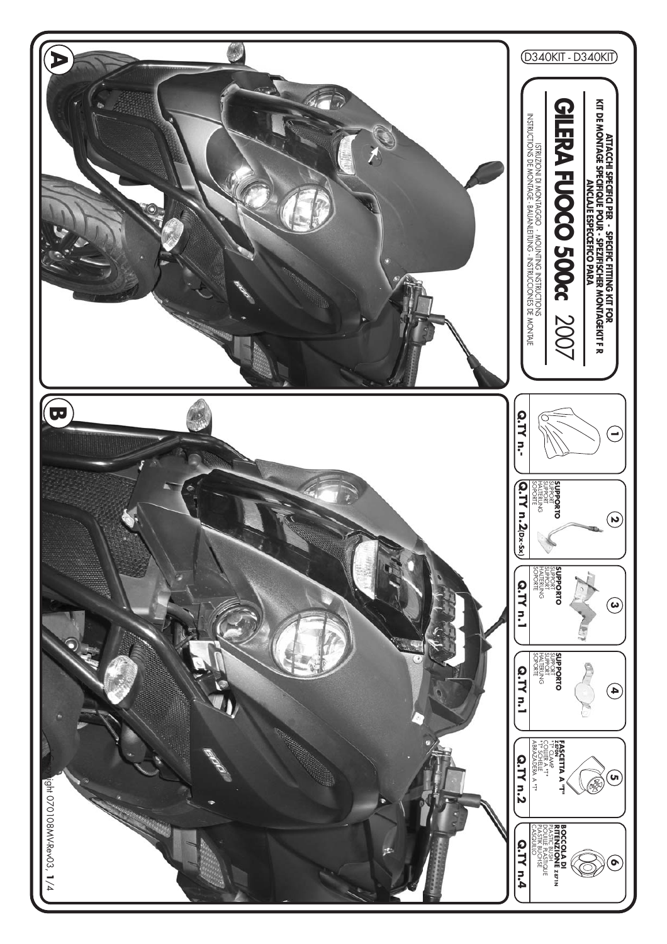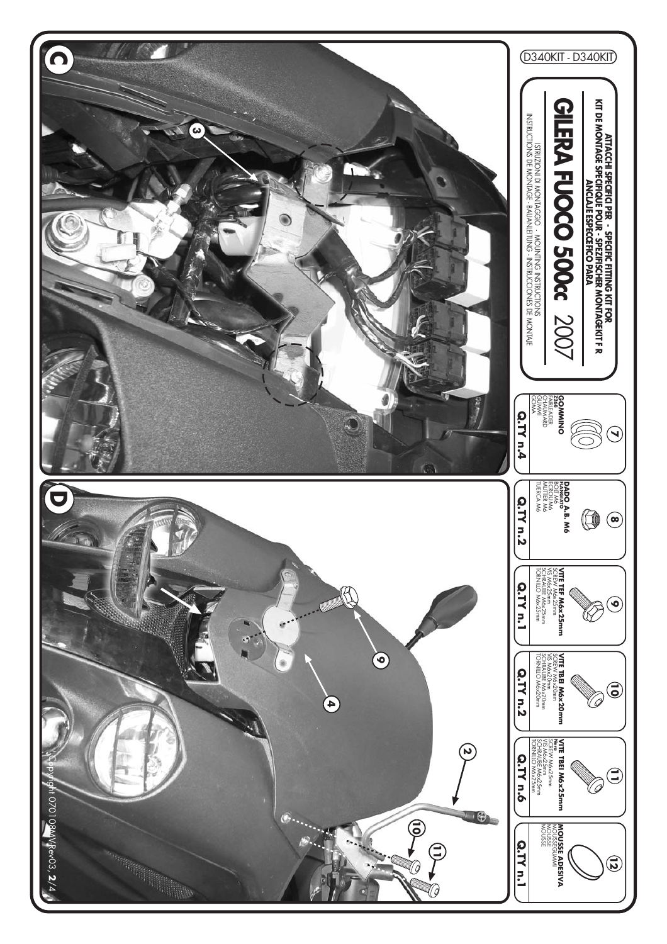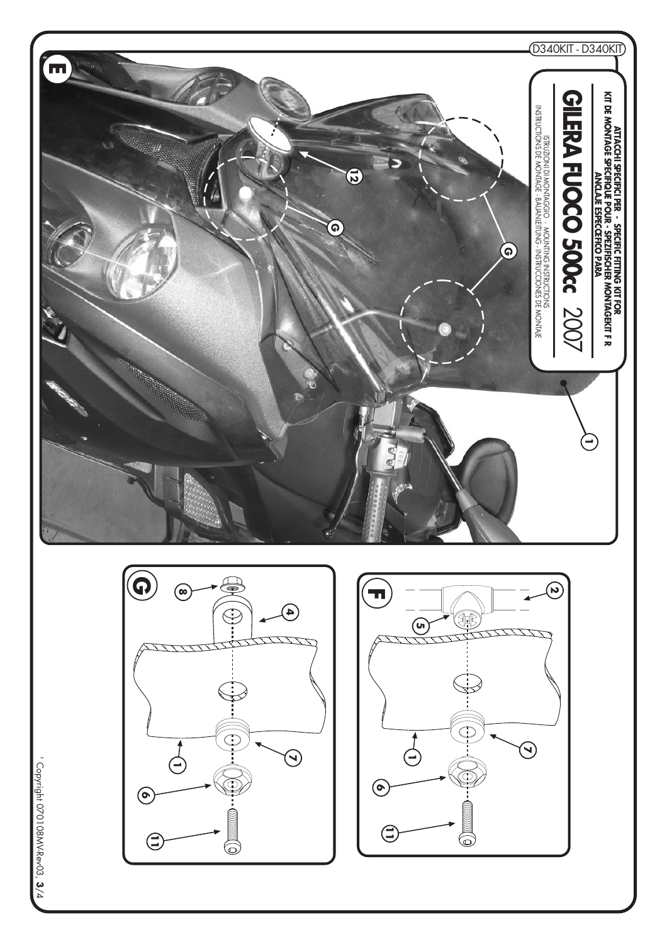